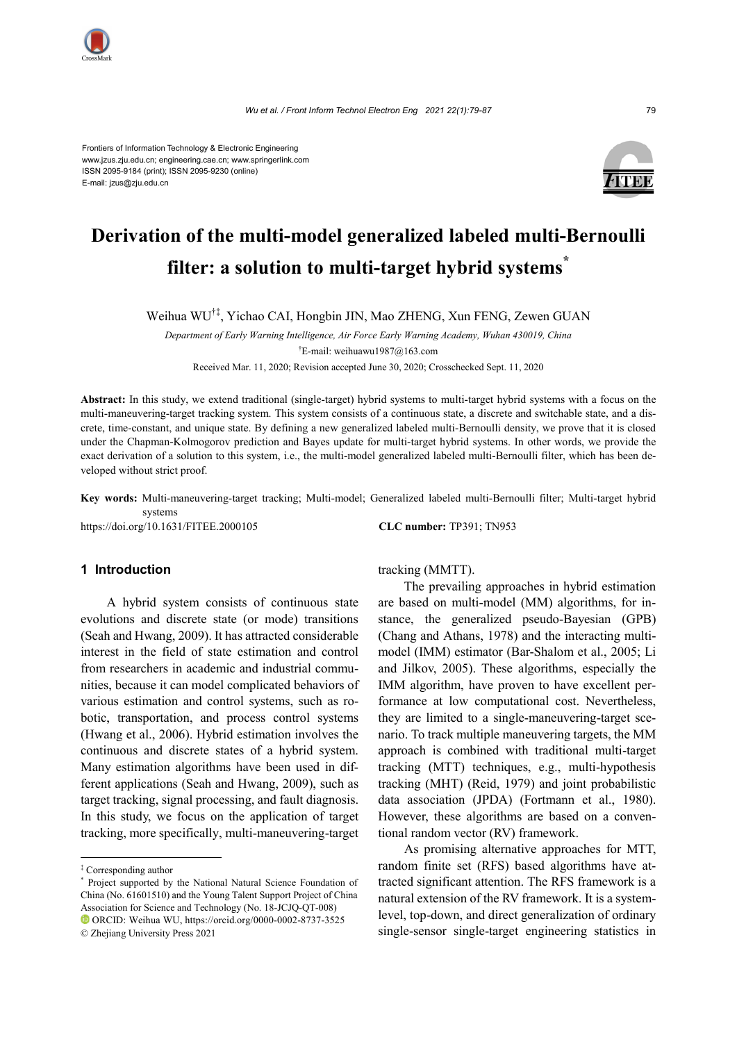

Frontiers of Information Technology & Electronic Engineering www.jzus.zju.edu.cn; engineering.cae.cn; www.springerlink.com ISSN 2095-9184 (print); ISSN 2095-9230 (online) E-mail: jzus@zju.edu.cn



# **Derivation of the multi-model generalized labeled multi-Bernoulli filter: a solution to multi-target hybrid systems\***

Weihua WU†‡, Yichao CAI, Hongbin JIN, Mao ZHENG, Xun FENG, Zewen GUAN

*Department of Early Warning Intelligence, Air Force Early Warning Academy, Wuhan 430019, China* † E-mail: weihuawu1987@163.com Received Mar. 11, 2020; Revision accepted June 30, 2020; Crosschecked Sept. 11, 2020

Abstract: In this study, we extend traditional (single-target) hybrid systems to multi-target hybrid systems with a focus on the multi-maneuvering-target tracking system. This system consists of a continuous state, a discrete and switchable state, and a discrete, time-constant, and unique state. By defining a new generalized labeled multi-Bernoulli density, we prove that it is closed under the Chapman-Kolmogorov prediction and Bayes update for multi-target hybrid systems. In other words, we provide the exact derivation of a solution to this system, i.e., the multi-model generalized labeled multi-Bernoulli filter, which has been developed without strict proof.

**Key words:** Multi-maneuvering-target tracking; Multi-model; Generalized labeled multi-Bernoulli filter; Multi-target hybrid systems

https://doi.org/10.1631/FITEE.2000105 **CLC number:** TP391; TN953

# **1 Introduction**

A hybrid system consists of continuous state evolutions and discrete state (or mode) transitions (Seah and Hwang, 2009). It has attracted considerable interest in the field of state estimation and control from researchers in academic and industrial communities, because it can model complicated behaviors of various estimation and control systems, such as robotic, transportation, and process control systems (Hwang et al., 2006). Hybrid estimation involves the continuous and discrete states of a hybrid system. Many estimation algorithms have been used in different applications (Seah and Hwang, 2009), such as target tracking, signal processing, and fault diagnosis. In this study, we focus on the application of target tracking, more specifically, multi-maneuvering-target

tracking (MMTT).

The prevailing approaches in hybrid estimation are based on multi-model (MM) algorithms, for instance, the generalized pseudo-Bayesian (GPB) (Chang and Athans, 1978) and the interacting multimodel (IMM) estimator (Bar-Shalom et al., 2005; Li and Jilkov, 2005). These algorithms, especially the IMM algorithm, have proven to have excellent performance at low computational cost. Nevertheless, they are limited to a single-maneuvering-target scenario. To track multiple maneuvering targets, the MM approach is combined with traditional multi-target tracking (MTT) techniques, e.g., multi-hypothesis tracking (MHT) (Reid, 1979) and joint probabilistic data association (JPDA) (Fortmann et al., 1980). However, these algorithms are based on a conventional random vector (RV) framework.

As promising alternative approaches for MTT, random finite set (RFS) based algorithms have attracted significant attention. The RFS framework is a natural extension of the RV framework. It is a systemlevel, top-down, and direct generalization of ordinary single-sensor single-target engineering statistics in

<sup>‡</sup> Corresponding author

<sup>\*</sup> Project supported by the National Natural Science Foundation of China (No. 61601510) and the Young Talent Support Project of China Association for Science and Technology (No. 18-JCJQ-QT-008) ORCID: Weihua WU, https://orcid.org/0000-0002-8737-3525

<sup>©</sup> Zhejiang University Press 2021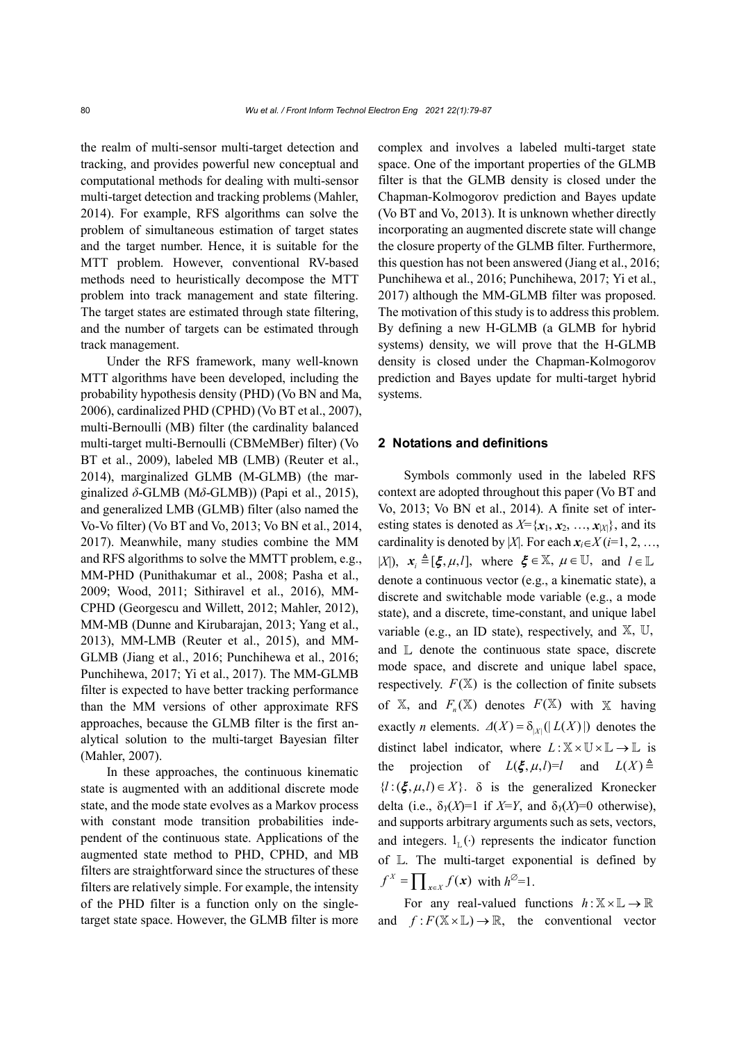the realm of multi-sensor multi-target detection and tracking, and provides powerful new conceptual and computational methods for dealing with multi-sensor multi-target detection and tracking problems (Mahler, 2014). For example, RFS algorithms can solve the problem of simultaneous estimation of target states and the target number. Hence, it is suitable for the MTT problem. However, conventional RV-based methods need to heuristically decompose the MTT problem into track management and state filtering. The target states are estimated through state filtering, and the number of targets can be estimated through track management.

Under the RFS framework, many well-known MTT algorithms have been developed, including the probability hypothesis density (PHD) (Vo BN and Ma, 2006), cardinalized PHD (CPHD) (Vo BT et al., 2007), multi-Bernoulli (MB) filter (the cardinality balanced multi-target multi-Bernoulli (CBMeMBer) filter) (Vo BT et al., 2009), labeled MB (LMB) (Reuter et al., 2014), marginalized GLMB (M-GLMB) (the marginalized *δ*-GLMB (M*δ*-GLMB)) (Papi et al., 2015), and generalized LMB (GLMB) filter (also named the Vo-Vo filter) (Vo BT and Vo, 2013; Vo BN et al., 2014, 2017). Meanwhile, many studies combine the MM and RFS algorithms to solve the MMTT problem, e.g., MM-PHD (Punithakumar et al., 2008; Pasha et al., 2009; Wood, 2011; Sithiravel et al., 2016), MM-CPHD (Georgescu and Willett, 2012; Mahler, 2012), MM-MB (Dunne and Kirubarajan, 2013; Yang et al., 2013), MM-LMB (Reuter et al., 2015), and MM-GLMB (Jiang et al., 2016; Punchihewa et al., 2016; Punchihewa, 2017; Yi et al., 2017). The MM-GLMB filter is expected to have better tracking performance than the MM versions of other approximate RFS approaches, because the GLMB filter is the first analytical solution to the multi-target Bayesian filter (Mahler, 2007).

In these approaches, the continuous kinematic state is augmented with an additional discrete mode state, and the mode state evolves as a Markov process with constant mode transition probabilities independent of the continuous state. Applications of the augmented state method to PHD, CPHD, and MB filters are straightforward since the structures of these filters are relatively simple. For example, the intensity of the PHD filter is a function only on the singletarget state space. However, the GLMB filter is more complex and involves a labeled multi-target state space. One of the important properties of the GLMB filter is that the GLMB density is closed under the Chapman-Kolmogorov prediction and Bayes update (Vo BT and Vo, 2013). It is unknown whether directly incorporating an augmented discrete state will change the closure property of the GLMB filter. Furthermore, this question has not been answered (Jiang et al., 2016; Punchihewa et al., 2016; Punchihewa, 2017; Yi et al., 2017) although the MM-GLMB filter was proposed. The motivation of this study is to address this problem. By defining a new H-GLMB (a GLMB for hybrid systems) density, we will prove that the H-GLMB density is closed under the Chapman-Kolmogorov prediction and Bayes update for multi-target hybrid systems.

## **2 Notations and definitions**

Symbols commonly used in the labeled RFS context are adopted throughout this paper (Vo BT and Vo, 2013; Vo BN et al., 2014). A finite set of interesting states is denoted as  $X = \{x_1, x_2, ..., x_{|X|}\}\)$ , and its cardinality is denoted by |*X*|. For each  $x_i \in X$  (*i*=1, 2, …,  $|X|$ ,  $x_i \triangleq [\xi, \mu, l]$ , where  $\xi \in \mathbb{X}$ ,  $\mu \in \mathbb{U}$ , and  $l \in \mathbb{L}$ denote a continuous vector (e.g., a kinematic state), a discrete and switchable mode variable (e.g., a mode state), and a discrete, time-constant, and unique label variable (e.g., an ID state), respectively, and  $X$ ,  $U$ , and  $\mathbb{L}$  denote the continuous state space, discrete mode space, and discrete and unique label space, respectively.  $F(\mathbb{X})$  is the collection of finite subsets of  $X$ , and  $F_n(X)$  denotes  $F(X)$  with  $X$  having exactly *n* elements.  $\Delta(X) = \delta_{|X|}(|L(X)|)$  denotes the distinct label indicator, where  $L : \mathbb{X} \times \mathbb{U} \times \mathbb{L} \rightarrow \mathbb{L}$  is the projection of  $L(\xi, \mu, l)=l$  and  $L(X) \triangleq$  ${l : (\xi, \mu, l) \in X}$ .  $\delta$  is the generalized Kronecker delta (i.e.,  $\delta_Y(X)=1$  if  $X=Y$ , and  $\delta_Y(X)=0$  otherwise), and supports arbitrary arguments such as sets, vectors, and integers.  $1_{\text{L}}(\cdot)$  represents the indicator function of  $\mathbb{L}$ . The multi-target exponential is defined by  $f^X = \prod_{x \in X} f(x)$  with  $h^{\emptyset} = 1$ .

For any real-valued functions  $h: \mathbb{X} \times \mathbb{L} \rightarrow \mathbb{R}$ and  $f: F(\mathbb{X} \times \mathbb{L}) \to \mathbb{R}$ , the conventional vector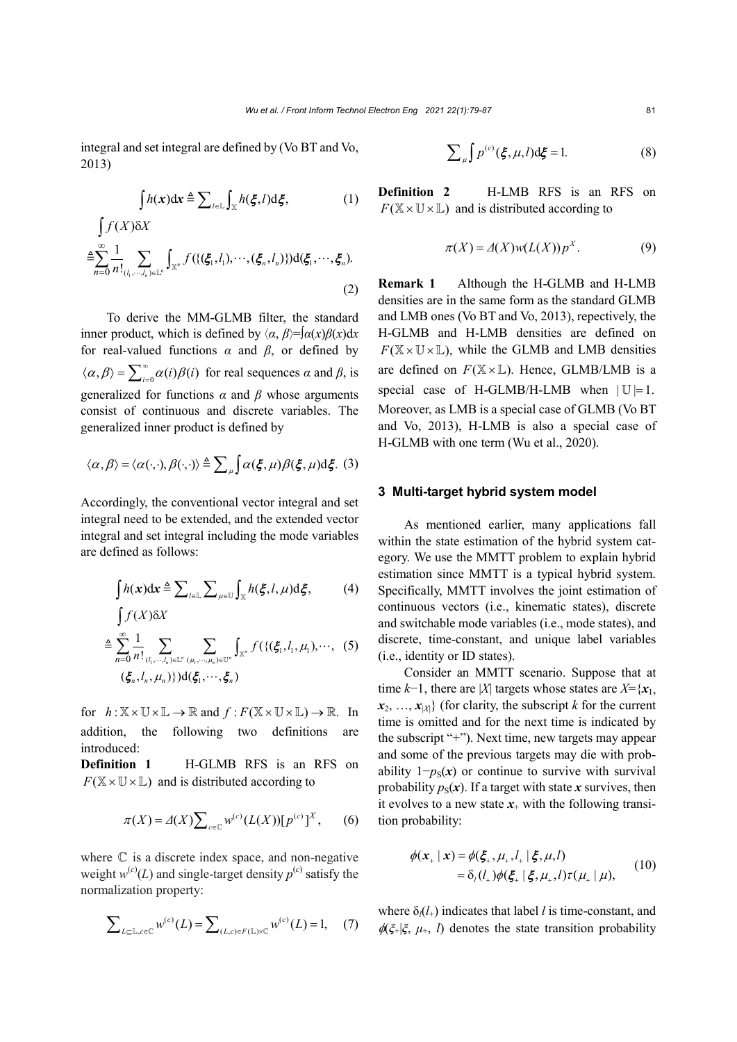integral and set integral are defined by (Vo BT and Vo, 2013)

$$
\int h(x)dx \triangleq \sum_{l \in \mathbb{L}} \int_{\mathbb{X}} h(\xi, l) d\xi, \tag{1}
$$

$$
\int f(X)\delta X
$$
  
\n
$$
\triangleq \sum_{n=0}^{\infty} \frac{1}{n!} \sum_{(l_1,\cdots,l_n)\in\mathbb{L}^n} \int_{\mathbb{X}^n} f(\{(\xi_1,l_1),\cdots,(\xi_n,l_n)\}) d(\xi_1,\cdots,\xi_n).
$$
\n(2)

To derive the MM-GLMB filter, the standard inner product, which is defined by  $\langle \alpha, \beta \rangle = \int \alpha(x) \beta(x) dx$ for real-valued functions  $\alpha$  and  $\beta$ , or defined by  $\langle \alpha, \beta \rangle = \sum_{i=0}^{\infty} \alpha(i) \beta(i)$  for real sequences  $\alpha$  and  $\beta$ , is generalized for functions  $\alpha$  and  $\beta$  whose arguments consist of continuous and discrete variables. The generalized inner product is defined by

$$
\langle \alpha, \beta \rangle = \langle \alpha(\cdot, \cdot), \beta(\cdot, \cdot) \rangle \triangleq \sum_{\mu} \int \alpha(\xi, \mu) \beta(\xi, \mu) d\xi. (3)
$$

Accordingly, the conventional vector integral and set integral need to be extended, and the extended vector integral and set integral including the mode variables are defined as follows:

$$
\int h(x)dx \triangleq \sum_{l \in \mathbb{L}} \sum_{\mu \in \mathbb{U}} \int_{\mathbb{X}} h(\xi, l, \mu) d\xi, \tag{4}
$$

$$
\int f(X)\delta X
$$
\n
$$
\triangleq \sum_{n=0}^{\infty} \frac{1}{n!} \sum_{(l_1,\cdots,l_n)\in\mathbb{L}^n} \sum_{(\mu_1,\cdots,\mu_n)\in\mathbb{U}^n} \int_{\mathbb{X}^n} f(\{(\xi_1,l_1,\mu_1),\cdots,(\xi_n)\}) d(\xi_1,\cdots,\xi_n)
$$

for  $h: \mathbb{X} \times \mathbb{U} \times \mathbb{L} \rightarrow \mathbb{R}$  and  $f: F(\mathbb{X} \times \mathbb{U} \times \mathbb{L}) \rightarrow \mathbb{R}$ . In addition, the following two definitions are introduced:

**Definition 1** H-GLMB RFS is an RFS on  $F(\mathbb{X} \times \mathbb{U} \times \mathbb{L})$  and is distributed according to

$$
\pi(X) = \Delta(X) \sum_{c \in \mathbb{C}} w^{(c)} (L(X)) [p^{(c)}]^{X}, \qquad (6)
$$

where  $\mathbb C$  is a discrete index space, and non-negative weight  $w^{(c)}(L)$  and single-target density  $p^{(c)}$  satisfy the normalization property:

$$
\sum_{L \subseteq \mathbb{L}, c \in \mathbb{C}} w^{(c)}(L) = \sum_{(L,c) \in F(\mathbb{L}) \times \mathbb{C}} w^{(c)}(L) = 1, \quad (7)
$$

$$
\sum_{\mu} \int p^{(c)}(\xi, \mu, l) d\xi = 1.
$$
 (8)

**Definition 2** H-LMB RFS is an RFS on  $F(\mathbb{X} \times \mathbb{U} \times \mathbb{L})$  and is distributed according to

$$
\pi(X) = \Delta(X)w(L(X))p^X.
$$
 (9)

**Remark 1** Although the H-GLMB and H-LMB densities are in the same form as the standard GLMB and LMB ones (Vo BT and Vo, 2013), repectively, the H-GLMB and H-LMB densities are defined on  $F(\mathbb{X} \times \mathbb{U} \times \mathbb{L})$ , while the GLMB and LMB densities are defined on  $F(\mathbb{X} \times \mathbb{L})$ . Hence, GLMB/LMB is a special case of H-GLMB/H-LMB when  $|U|=1$ . Moreover, as LMB is a special case of GLMB (Vo BT and Vo, 2013), H-LMB is also a special case of H-GLMB with one term (Wu et al., 2020).

#### **3 Multi-target hybrid system model**

As mentioned earlier, many applications fall within the state estimation of the hybrid system category. We use the MMTT problem to explain hybrid estimation since MMTT is a typical hybrid system. Specifically, MMTT involves the joint estimation of continuous vectors (i.e., kinematic states), discrete and switchable mode variables (i.e., mode states), and discrete, time-constant, and unique label variables (i.e., identity or ID states).

Consider an MMTT scenario. Suppose that at time  $k-1$ , there are |*X*| targets whose states are  $X = \{x_1, x_2, \dots, x_n\}$  $\{x_2, \ldots, x_{|X|}\}$  (for clarity, the subscript *k* for the current time is omitted and for the next time is indicated by the subscript "+"). Next time, new targets may appear and some of the previous targets may die with probability  $1-p<sub>S</sub>(x)$  or continue to survive with survival probability  $p_S(x)$ . If a target with state *x* survives, then it evolves to a new state  $x_{+}$  with the following transition probability:

$$
\phi(\mathbf{x}_{+} | \mathbf{x}) = \phi(\xi_{+}, \mu_{+}, l_{+} | \xi, \mu, l) \n= \delta_{l}(l_{+}) \phi(\xi_{+} | \xi, \mu_{+}, l) \tau(\mu_{+} | \mu),
$$
\n(10)

where  $\delta_l(l_+)$  indicates that label *l* is time-constant, and  $\phi(\xi_+|\xi, \mu_+, l)$  denotes the state transition probability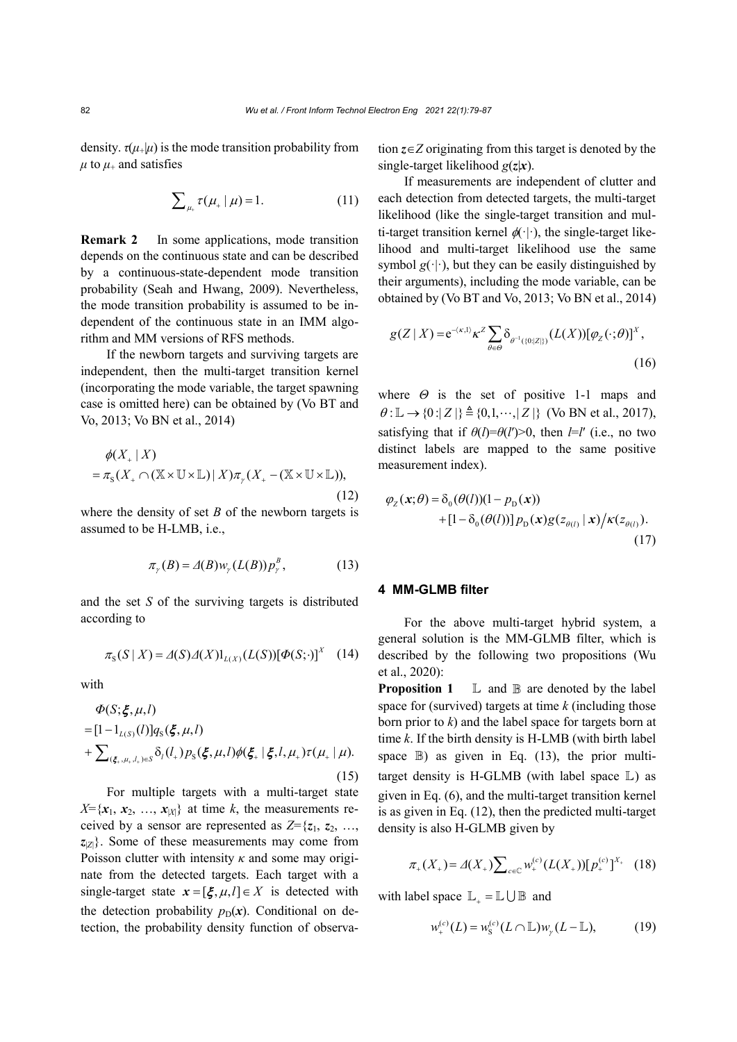density.  $\tau(\mu_{+}|\mu)$  is the mode transition probability from  $\mu$  to  $\mu$ <sub>+</sub> and satisfies

$$
\sum_{\mu_{+}} \tau(\mu_{+} | \mu) = 1. \tag{11}
$$

**Remark 2** In some applications, mode transition depends on the continuous state and can be described by a continuous-state-dependent mode transition probability (Seah and Hwang, 2009). Nevertheless, the mode transition probability is assumed to be independent of the continuous state in an IMM algorithm and MM versions of RFS methods.

If the newborn targets and surviving targets are independent, then the multi-target transition kernel (incorporating the mode variable, the target spawning case is omitted here) can be obtained by (Vo BT and Vo, 2013; Vo BN et al., 2014)

$$
\phi(X_+ | X)
$$
  
=  $\pi_s(X_+ \cap (\mathbb{X} \times \mathbb{U} \times \mathbb{L}) | X) \pi_{\gamma}(X_+ - (\mathbb{X} \times \mathbb{U} \times \mathbb{L}))$ , (12)

where the density of set  $B$  of the newborn targets is assumed to be H-LMB, i.e.,

$$
\pi_{\gamma}(B) = \Delta(B) w_{\gamma}(L(B)) p_{\gamma}^{B}, \qquad (13)
$$

and the set *S* of the surviving targets is distributed according to

$$
\pi_{S}(S \mid X) = \Delta(S)\Delta(X) 1_{L(X)}(L(S))[\Phi(S; \cdot)]^{X} \quad (14)
$$

with

$$
\Phi(S; \xi, \mu, l) = [1 - 1_{L(S)}(l)] q_S(\xi, \mu, l) \n+ \sum_{(\xi_*, \mu_*, l_*) \in S} \delta_l(l_*) p_S(\xi, \mu, l) \phi(\xi_* | \xi, l, \mu_*) \tau(\mu_* | \mu).
$$
\n(15)

For multiple targets with a multi-target state  $X = \{x_1, x_2, ..., x_{|X|}\}\$ at time *k*, the measurements received by a sensor are represented as  $Z = \{z_1, z_2, \ldots, z_n\}$ *z*|*Z*| }. Some of these measurements may come from Poisson clutter with intensity *κ* and some may originate from the detected targets. Each target with a single-target state  $x = [\xi, \mu, l] \in X$  is detected with the detection probability  $p_D(x)$ . Conditional on detection, the probability density function of observation *z*∈*Z* originating from this target is denoted by the single-target likelihood *g*(*z*|*x*).

If measurements are independent of clutter and each detection from detected targets, the multi-target likelihood (like the single-target transition and multi-target transition kernel  $\phi(\cdot)$ , the single-target likelihood and multi-target likelihood use the same symbol  $g(\cdot|\cdot)$ , but they can be easily distinguished by their arguments), including the mode variable, can be obtained by (Vo BT and Vo, 2013; Vo BN et al., 2014)

$$
g(Z \mid X) = e^{-\langle \kappa, 1 \rangle} \kappa^Z \sum_{\theta \in \Theta} \delta_{\theta^{-1}(\{0 : |Z|\})} (L(X)) [\varphi_Z(\cdot; \theta)]^X,
$$
\n(16)

where  $\Theta$  is the set of positive 1-1 maps and  $\theta: \mathbb{L} \to \{0: |Z| \} \triangleq \{0, 1, \dots, |Z| \}$  (Vo BN et al., 2017), satisfying that if  $\theta(l) = \theta(l') > 0$ , then *l*=*l'* (i.e., no two distinct labels are mapped to the same positive measurement index).

$$
\varphi_Z(\mathbf{x}; \theta) = \delta_0(\theta(l))(1 - p_\text{D}(\mathbf{x})) + [1 - \delta_0(\theta(l))] p_\text{D}(\mathbf{x}) g(z_{\theta(l)} | \mathbf{x}) / \kappa(z_{\theta(l)}).
$$
\n(17)

# **4 MM-GLMB filter**

For the above multi-target hybrid system, a general solution is the MM-GLMB filter, which is described by the following two propositions (Wu et al., 2020):

**Proposition 1**  $\mathbb{L}$  and  $\mathbb{B}$  are denoted by the label space for (survived) targets at time *k* (including those born prior to *k*) and the label space for targets born at time *k*. If the birth density is H-LMB (with birth label space  $\mathbb{B}$ ) as given in Eq. (13), the prior multitarget density is H-GLMB (with label space  $L$ ) as given in Eq. (6), and the multi-target transition kernel is as given in Eq. (12), then the predicted multi-target density is also H-GLMB given by

$$
\pi_+(X_+) = \Delta(X_+) \sum_{c \in \mathbb{C}} w_+^{(c)} (L(X_+)) [p_+^{(c)}]^{X_+} \quad (18)
$$

with label space  $\mathbb{L}_{+} = \mathbb{L} \cup \mathbb{B}$  and

$$
w_{+}^{(c)}(L) = w_{\rm S}^{(c)}(L \cap \mathbb{L})w_{\gamma}(L - \mathbb{L}), \tag{19}
$$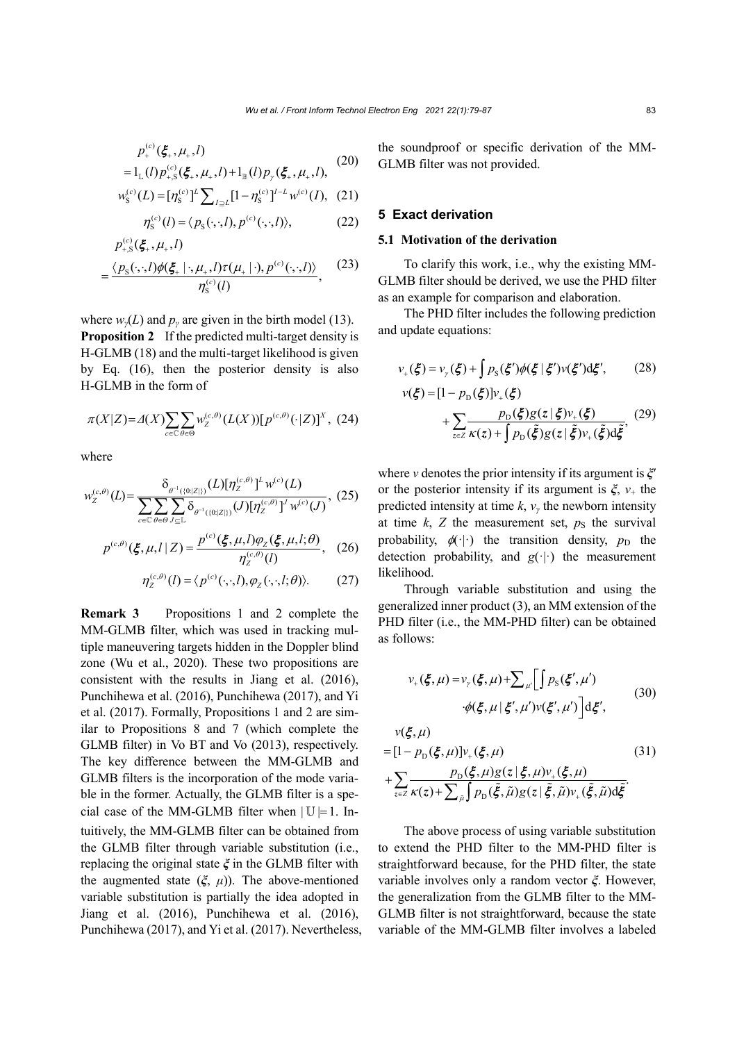$$
p_{+}^{(c)}(\xi_{+},\mu_{+},l)
$$
  
=1<sub>L</sub>(l) $p_{+S}^{(c)}(\xi_{+},\mu_{+},l)+1_{B}(l)p_{\gamma}(\xi_{+},\mu_{+},l),$  (20)

$$
w_{\rm S}^{(c)}(L) = [\eta_{\rm S}^{(c)}]^L \sum_{I \supseteq L} [1 - \eta_{\rm S}^{(c)}]^{I-L} w^{(c)}(I), \tag{21}
$$

$$
\eta_{\rm S}^{(c)}(l) = \langle p_{\rm S}(\cdot,\cdot,l), p^{(c)}(\cdot,\cdot,l) \rangle, \tag{22}
$$

$$
p_{+,S}^{(c)}(\xi_+, \mu_+, l)
$$
  
= 
$$
\frac{\langle p_S(\cdot, \cdot, l)\phi(\xi_+ | \cdot, \mu_+, l)\tau(\mu_+ | \cdot), p^{(c)}(\cdot, \cdot, l)\rangle}{\eta_S^{(c)}(l)},
$$
 (23)

where  $w<sub>y</sub>(L)$  and  $p<sub>y</sub>$  are given in the birth model (13). **Proposition 2** If the predicted multi-target density is H-GLMB (18) and the multi-target likelihood is given by Eq. (16), then the posterior density is also H-GLMB in the form of

$$
\pi(X|Z) = \Delta(X) \sum_{c \in \mathbb{C}} \sum_{\theta \in \Theta} w_Z^{(c,\theta)}(L(X)) [p^{(c,\theta)}(\cdot|Z)]^X, (24)
$$

where

$$
w_Z^{(c,\theta)}(L) = \frac{\delta_{\theta^{-1}(\{0:|Z|\})}(L)[\eta_Z^{(c,\theta)}]^L w^{(c)}(L)}{\sum_{c \in \mathcal{C}} \sum_{\theta \in \Theta} \sum_{J \subseteq L} \delta_{\theta^{-1}(\{0:|Z|\})}(J)[\eta_Z^{(c,\theta)}]^J w^{(c)}(J)}, (25)
$$

$$
p^{(c,\theta)}(\xi,\mu,l\,|\,Z) = \frac{p^{(c)}(\xi,\mu,l)\varphi_Z(\xi,\mu,l;\theta)}{\eta_Z^{(c,\theta)}(l)},\quad(26)
$$

$$
\eta_z^{(c,\theta)}(l) = \langle p^{(c)}(\cdot,\cdot,l), \varphi_z(\cdot,\cdot,l;\theta) \rangle. \tag{27}
$$

**Remark 3** Propositions 1 and 2 complete the MM-GLMB filter, which was used in tracking multiple maneuvering targets hidden in the Doppler blind zone (Wu et al., 2020). These two propositions are consistent with the results in Jiang et al. (2016), Punchihewa et al. (2016), Punchihewa (2017), and Yi et al. (2017). Formally, Propositions 1 and 2 are similar to Propositions 8 and 7 (which complete the GLMB filter) in Vo BT and Vo (2013), respectively. The key difference between the MM-GLMB and GLMB filters is the incorporation of the mode variable in the former. Actually, the GLMB filter is a special case of the MM-GLMB filter when  $|U|=1$ . Intuitively, the MM-GLMB filter can be obtained from the GLMB filter through variable substitution (i.e., replacing the original state *ξ* in the GLMB filter with the augmented state  $(\xi, \mu)$ ). The above-mentioned variable substitution is partially the idea adopted in Jiang et al. (2016), Punchihewa et al. (2016), Punchihewa (2017), and Yi et al. (2017). Nevertheless, the soundproof or specific derivation of the MM-GLMB filter was not provided.

## **5 Exact derivation**

# **5.1 Motivation of the derivation**

To clarify this work, i.e., why the existing MM-GLMB filter should be derived, we use the PHD filter as an example for comparison and elaboration.

The PHD filter includes the following prediction and update equations:

$$
v_{+}(\xi) = v_{\gamma}(\xi) + \int p_{\rm S}(\xi')\phi(\xi \,|\, \xi')v(\xi')\mathrm{d}\xi',\tag{28}
$$

$$
v(\xi) = [1 - pD(\xi)]v+(\xi)
$$
  
+ 
$$
\sum_{z \in Z} \frac{p_{D}(\xi)g(z|\xi)v_{+}(\xi)}{\kappa(z) + \int p_{D}(\xi)g(z|\xi)v_{+}(\xi)d\xi}
$$
 (29)

where *v* denotes the prior intensity if its argument is *ξ*′ or the posterior intensity if its argument is  $\xi$ ,  $v_+$  the predicted intensity at time  $k$ ,  $v<sub>y</sub>$  the newborn intensity at time  $k$ ,  $Z$  the measurement set,  $p<sub>S</sub>$  the survival probability,  $\phi(\cdot)$  the transition density,  $p_D$  the detection probability, and  $g(\cdot|\cdot)$  the measurement likelihood.

Through variable substitution and using the generalized inner product (3), an MM extension of the PHD filter (i.e., the MM-PHD filter) can be obtained as follows:

$$
v_{+}(\xi,\mu) = v_{\gamma}(\xi,\mu) + \sum_{\mu'} \left[ \int p_{\rm S}(\xi',\mu') \right]
$$

$$
\phi(\xi,\mu \mid \xi',\mu') v(\xi',\mu') \left[ \mathrm{d}\xi',\right]
$$
(30)

$$
v(\xi, \mu)
$$
  
\n
$$
= [1 - pD(\xi, \mu)]v_{+}(\xi, \mu)
$$
  
\n
$$
+ \sum_{z \in Z} \frac{p_{D}(\xi, \mu)g(z|\xi, \mu)v_{+}(\xi, \mu)}{K(z) + \sum_{\tilde{\mu}} \int p_{D}(\tilde{\xi}, \tilde{\mu})g(z|\tilde{\xi}, \tilde{\mu})v_{+}(\tilde{\xi}, \tilde{\mu})d\tilde{\xi}}.
$$
\n(31)

The above process of using variable substitution to extend the PHD filter to the MM-PHD filter is straightforward because, for the PHD filter, the state variable involves only a random vector *ξ*. However, the generalization from the GLMB filter to the MM-GLMB filter is not straightforward, because the state variable of the MM-GLMB filter involves a labeled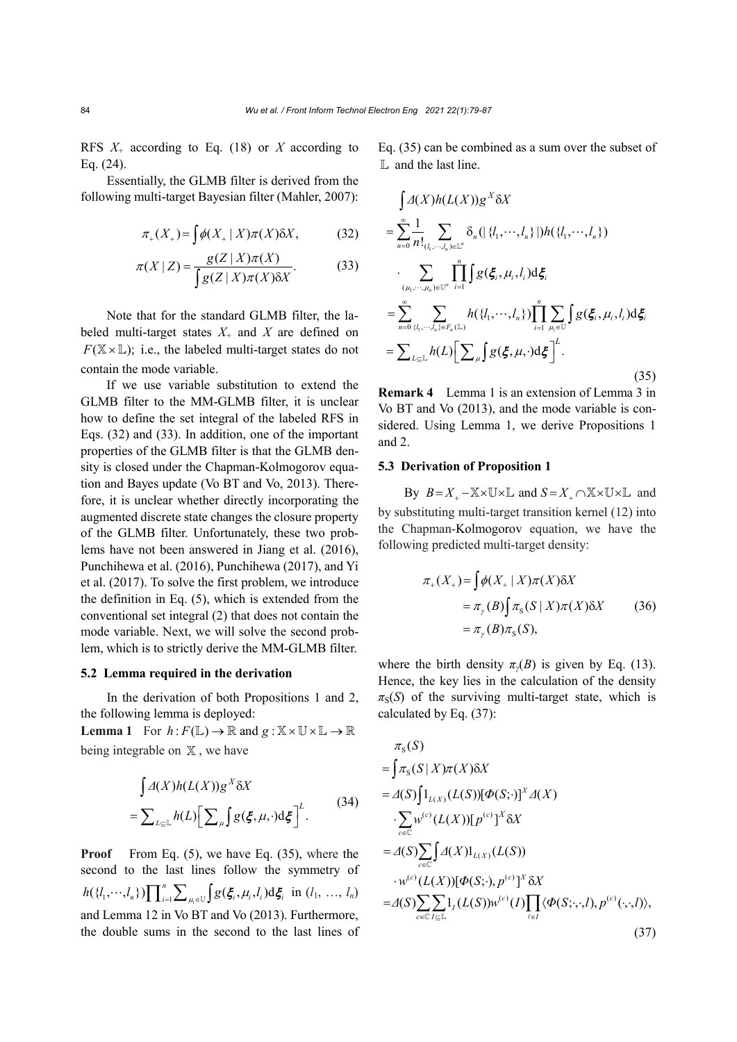RFS *X*<sup>+</sup> according to Eq. (18) or *X* according to Eq. (24).

Essentially, the GLMB filter is derived from the following multi-target Bayesian filter (Mahler, 2007):

$$
\pi_+(X_+) = \int \phi(X_+ \mid X) \pi(X) \delta X, \tag{32}
$$

$$
\pi(X \mid Z) = \frac{g(Z \mid X)\pi(X)}{\int g(Z \mid X)\pi(X)\delta X}.\tag{33}
$$

Note that for the standard GLMB filter, the labeled multi-target states  $X_+$  and  $X$  are defined on  $F(\mathbb{X} \times \mathbb{L})$ ; i.e., the labeled multi-target states do not contain the mode variable.

If we use variable substitution to extend the GLMB filter to the MM-GLMB filter, it is unclear how to define the set integral of the labeled RFS in Eqs. (32) and (33). In addition, one of the important properties of the GLMB filter is that the GLMB density is closed under the Chapman-Kolmogorov equation and Bayes update (Vo BT and Vo, 2013). Therefore, it is unclear whether directly incorporating the augmented discrete state changes the closure property of the GLMB filter. Unfortunately, these two problems have not been answered in Jiang et al. (2016), Punchihewa et al. (2016), Punchihewa (2017), and Yi et al. (2017). To solve the first problem, we introduce the definition in Eq. (5), which is extended from the conventional set integral (2) that does not contain the mode variable. Next, we will solve the second problem, which is to strictly derive the MM-GLMB filter.

#### **5.2 Lemma required in the derivation**

In the derivation of both Propositions 1 and 2, the following lemma is deployed:

**Lemma 1** For  $h: F(\mathbb{L}) \to \mathbb{R}$  and  $g: \mathbb{X} \times \mathbb{U} \times \mathbb{L} \to \mathbb{R}$ being integrable on  $X$ , we have

$$
\int \Delta(X)h(L(X))g^X \delta X
$$
  
=  $\sum_{L \subset L} h(L) [\sum_{\mu} g(\xi, \mu, \cdot) d\xi]^{L}$ . (34)

**Proof** From Eq. (5), we have Eq. (35), where the second to the last lines follow the symmetry of  $h({l_1, ..., l_n})$   $\prod_{i=1}^n \sum_{\mu_i \in U} \int g(\xi_i, \mu_i, l_i) d\xi_i$  in  $(l_1, ..., l_n)$ and Lemma 12 in Vo BT and Vo (2013). Furthermore, the double sums in the second to the last lines of Eq. (35) can be combined as a sum over the subset of L and the last line.

$$
\int \Delta(X)h(L(X))g^X \delta X
$$
\n
$$
= \sum_{n=0}^{\infty} \frac{1}{n!} \sum_{(l_1, \dots, l_n) \in \mathbb{L}^n} \delta_n(|\{l_1, \dots, l_n\}|)h(\{l_1, \dots, l_n\})
$$
\n
$$
\cdot \sum_{(\mu_1, \dots, \mu_n) \in \mathbb{U}^n} \prod_{i=1}^n \int g(\xi_i, \mu_i, l_i) d\xi_i
$$
\n
$$
= \sum_{n=0}^{\infty} \sum_{(l_1, \dots, l_n) \in F_n(\mathbb{L})} h(\{l_1, \dots, l_n\}) \prod_{i=1}^n \sum_{\mu_i \in \mathbb{U}} \int g(\xi_i, \mu_i, l_i) d\xi_i
$$
\n
$$
= \sum_{L \subseteq \mathbb{L}} h(L) \Big[ \sum_{\mu} \int g(\xi, \mu, \cdot) d\xi \Big]^L.
$$
\n(35)

**Remark 4** Lemma 1 is an extension of Lemma 3 in Vo BT and Vo (2013), and the mode variable is considered. Using Lemma 1, we derive Propositions 1 and 2.

## **5.3 Derivation of Proposition 1**

By  $B = X_+ - \mathbb{X} \times \mathbb{U} \times \mathbb{L}$  and  $S = X_+ \cap \mathbb{X} \times \mathbb{U} \times \mathbb{L}$  and by substituting multi-target transition kernel (12) into the Chapman-Kolmogorov equation, we have the following predicted multi-target density:

$$
\pi_+(X_+) = \int \phi(X_+ | X) \pi(X) \delta X
$$
  
=  $\pi_\gamma(B) \int \pi_S(S | X) \pi(X) \delta X$  (36)  
=  $\pi_\gamma(B) \pi_S(S)$ ,

where the birth density  $\pi_{\nu}(B)$  is given by Eq. (13). Hence, the key lies in the calculation of the density  $\pi_S(S)$  of the surviving multi-target state, which is calculated by Eq. (37):

$$
\pi_{s}(S)
$$
\n
$$
= \int \pi_{s}(S|X)\pi(X)\delta X
$$
\n
$$
= \Delta(S)\int 1_{L(X)}(L(S))[\Phi(S; \cdot)]^{X} \Delta(X)
$$
\n
$$
\cdot \sum_{c \in C} w^{(c)}(L(X))[\rho^{(c)}]^{X} \delta X
$$
\n
$$
= \Delta(S)\sum_{c \in C} \int \Delta(X)1_{L(X)}(L(S))
$$
\n
$$
\cdot w^{(c)}(L(X))[\Phi(S; \cdot), \rho^{(c)}]^{X} \delta X
$$
\n
$$
= \Delta(S)\sum_{c \in C} \sum_{I \subseteq L} 1_{I}(L(S))w^{(c)}(I)\prod_{\ell \in I} \langle \Phi(S; \cdot, \cdot, I), \rho^{(c)}(\cdot, \cdot, I) \rangle,
$$
\n(37)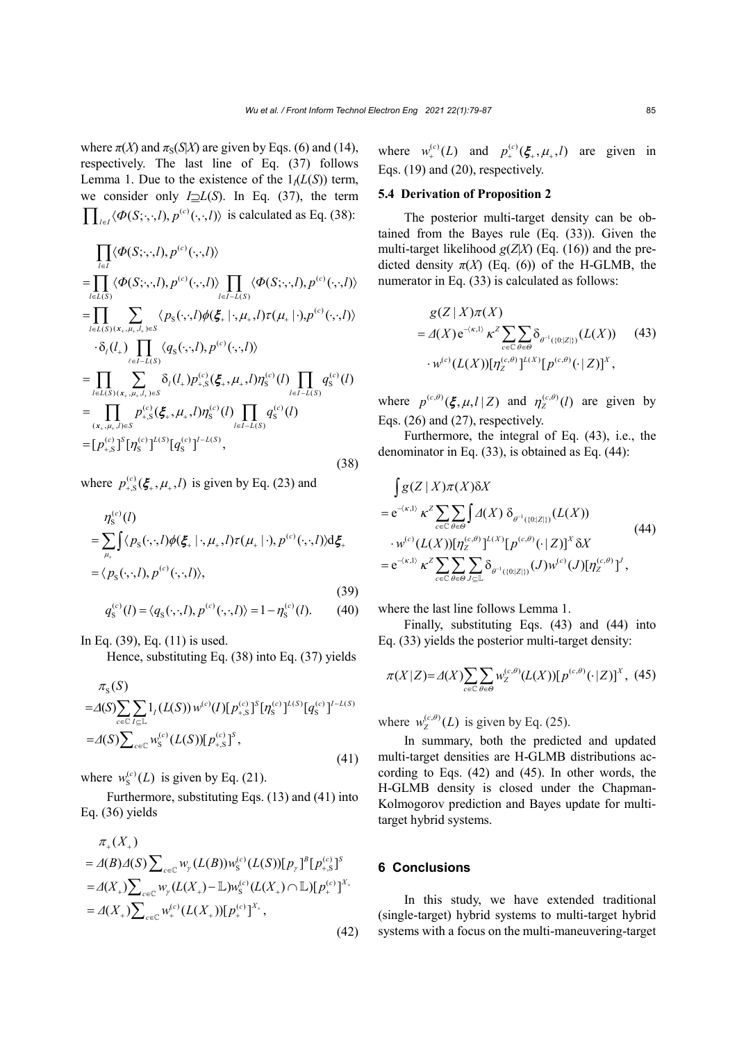where  $\pi(X)$  and  $\pi_S(S|X)$  are given by Eqs. (6) and (14), respectively. The last line of Eq. (37) follows Lemma 1. Due to the existence of the  $1/(L(S))$  term, we consider only *I*⊇*L*(*S*). In Eq. (37), the term  $\prod_{l \in I} \langle \Phi(S; \cdot, \cdot, l), p^{(c)}(\cdot, \cdot, l) \rangle$  is calculated as Eq. (38):

$$
\prod_{l \in I} \langle \Phi(S; \cdot, \cdot, l), p^{(c)}(\cdot, \cdot, l) \rangle \n= \prod_{l \in L(S)} \langle \Phi(S; \cdot, \cdot, l), p^{(c)}(\cdot, \cdot, l) \rangle \prod_{l \in I - L(S)} \langle \Phi(S; \cdot, \cdot, l), p^{(c)}(\cdot, \cdot, l) \rangle \n= \prod_{l \in L(S)} \sum_{(x_*, \mu_*, l_*) \in S} \langle p_S(\cdot, \cdot, l) \phi(\xi_+, \cdot, \mu_*, l) \tau(\mu_+ | \cdot), p^{(c)}(\cdot, \cdot, l) \rangle \n\cdot \delta_l(l_+) \prod_{\ell \in I - L(S)} \langle q_S(\cdot, \cdot, l), p^{(c)}(\cdot, \cdot, l) \rangle \n= \prod_{l \in L(S)} \sum_{(x_*, \mu_*, l_*) \in S} \delta_l(l_+) p_{+,S}^{(c)}(\xi_+, \mu_*, l) \eta_S^{(c)}(l) \prod_{l \in I - L(S)} q_S^{(c)}(l) \n= \prod_{(x_*, \mu_*, l) \in S} p_{+,S}^{(c)}(\xi_+, \mu_*, l) \eta_S^{(c)}(l) \prod_{l \in I - L(S)} q_S^{(c)}(l) \n= [p_{+,S}^{(c)}]^S [\eta_S^{(c)}]^{L(S)} [q_S^{(c)}]^{I - L(S)},
$$
\n(38)

where  $p_{+,S}^{(c)}(\xi_*, \mu_*, l)$  is given by Eq. (23) and

$$
\eta_{\rm S}^{(c)}(l)
$$
\n
$$
= \sum_{\mu_{\star}} \int \langle p_{\rm S}(\cdot, \cdot, l) \phi(\xi_{+} | \cdot, \mu_{+}, l) \tau(\mu_{+} | \cdot), p^{(c)}(\cdot, \cdot, l) \rangle d\xi_{+}
$$
\n
$$
= \langle p_{\rm S}(\cdot, \cdot, l), p^{(c)}(\cdot, \cdot, l) \rangle, \tag{39}
$$
\n
$$
q_{\rm S}^{(c)}(l) = \langle q_{\rm S}(\cdot, \cdot, l), p^{(c)}(\cdot, \cdot, l) \rangle = 1 - \eta_{\rm S}^{(c)}(l). \tag{40}
$$

In Eq. (39), Eq. (11) is used.

Hence, substituting Eq. (38) into Eq. (37) yields

$$
\pi_{\mathcal{S}}(S) = \Delta(S) \sum_{c \in \mathbb{C}} \sum_{I \subseteq \mathbb{L}} 1_{I}(L(S)) w^{(c)}(I) [p_{+,S}^{(c)}]^S [\eta_{\mathcal{S}}^{(c)}]^{L(S)} [q_{\mathcal{S}}^{(c)}]^{I-L(S)} \n= \Delta(S) \sum_{c \in \mathbb{C}} w_{\mathcal{S}}^{(c)}(L(S)) [p_{+,S}^{(c)}]^S,
$$
\n(41)

where  $w_s^{(c)}(L)$  is given by Eq. (21).

Furthermore, substituting Eqs. (13) and (41) into Eq. (36) yields

$$
\pi_{+}(X_{+})
$$
\n
$$
= \Delta(B)\Delta(S)\sum_{c \in \mathbb{C}} w_{\gamma}(L(B))w_{S}^{(c)}(L(S))[p_{\gamma}]^{\beta}[p_{+S}^{(c)}]^{S}
$$
\n
$$
= \Delta(X_{+})\sum_{c \in \mathbb{C}} w_{\gamma}(L(X_{+}) - \mathbb{L})w_{S}^{(c)}(L(X_{+}) \cap \mathbb{L})[p_{+}^{(c)}]^{X_{+}}
$$
\n
$$
= \Delta(X_{+})\sum_{c \in \mathbb{C}} w_{+}^{(c)}(L(X_{+}))[p_{+}^{(c)}]^{X_{+}},
$$
\n(42)

where  $w_{+}^{(c)}(L)$  and  $p_{+}^{(c)}(\xi_{+}, \mu_{+}, l)$  are given in Eqs. (19) and (20), respectively.

#### **5.4 Derivation of Proposition 2**

The posterior multi-target density can be obtained from the Bayes rule (Eq. (33)). Given the multi-target likelihood  $g(Z|X)$  (Eq. (16)) and the predicted density  $\pi(X)$  (Eq. (6)) of the H-GLMB, the numerator in Eq. (33) is calculated as follows:

$$
g(Z | X) \pi(X)
$$
  
=  $\Delta(X) e^{-(\kappa, 1)} \kappa^Z \sum_{c \in \mathbb{C}} \sum_{\theta \in \Theta} \delta_{\theta^{-1}(\{0: |Z|\})} (L(X))$  (43)  
 $\cdot w^{(c)}(L(X)) [\eta_Z^{(c, \theta)}]^{L(X)} [p^{(c, \theta)}(\cdot |Z)]^X,$ 

where  $p^{(c,\theta)}(\xi, \mu, l | Z)$  and  $\eta^{(c,\theta)}_z(l)$  are given by Eqs. (26) and (27), respectively.

Furthermore, the integral of Eq. (43), i.e., the denominator in Eq. (33), is obtained as Eq. (44):

$$
\int g(Z \mid X)\pi(X)\delta X
$$
\n
$$
= e^{-\langle \kappa, 1 \rangle} \kappa^{Z} \sum_{c \in \mathbb{C}} \sum_{\theta \in \Theta} \int \Delta(X) \ \delta_{\theta^{-1}(\{0:|Z|\})} (L(X))
$$
\n
$$
\cdot w^{(c)} (L(X)) [\eta_{Z}^{(c,\theta)}]^{L(X)} [p^{(c,\theta)}(\cdot |Z)]^{X} \delta X
$$
\n
$$
= e^{-\langle \kappa, 1 \rangle} \kappa^{Z} \sum_{c \in \mathbb{C}} \sum_{\theta \in \Theta} \sum_{J \subseteq \mathbb{L}} \delta_{\theta^{-1}(\{0:|Z|\})} (J) w^{(c)}(J) [\eta_{Z}^{(c,\theta)}]^{J},
$$
\n
$$
(44)
$$

where the last line follows Lemma 1.

Finally, substituting Eqs. (43) and (44) into Eq. (33) yields the posterior multi-target density:

$$
\pi(X|Z) = \Delta(X) \sum_{c \in \mathbb{C}} \sum_{\theta \in \Theta} w_Z^{(c,\theta)}(L(X)) [p^{(c,\theta)}(\cdot | Z)]^X, (45)
$$

where  $w_{Z}^{(c,\theta)}(L)$  is given by Eq. (25).

In summary, both the predicted and updated multi-target densities are H-GLMB distributions according to Eqs. (42) and (45). In other words, the H-GLMB density is closed under the Chapman-Kolmogorov prediction and Bayes update for multitarget hybrid systems.

# **6 Conclusions**

In this study, we have extended traditional (single-target) hybrid systems to multi-target hybrid systems with a focus on the multi-maneuvering-target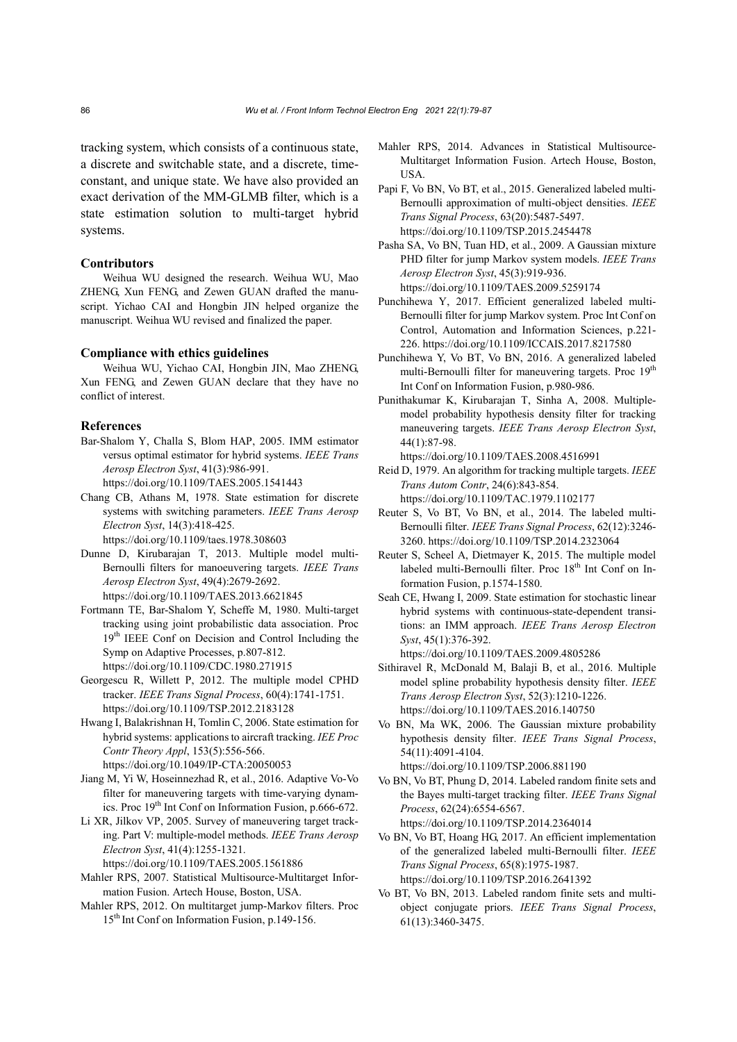tracking system, which consists of a continuous state, a discrete and switchable state, and a discrete, timeconstant, and unique state. We have also provided an exact derivation of the MM-GLMB filter, which is a state estimation solution to multi-target hybrid systems.

## **Contributors**

Weihua WU designed the research. Weihua WU, Mao ZHENG, Xun FENG, and Zewen GUAN drafted the manuscript. Yichao CAI and Hongbin JIN helped organize the manuscript. Weihua WU revised and finalized the paper.

#### **Compliance with ethics guidelines**

Weihua WU, Yichao CAI, Hongbin JIN, Mao ZHENG, Xun FENG, and Zewen GUAN declare that they have no conflict of interest.

#### **References**

- Bar-Shalom Y, Challa S, Blom HAP, 2005. IMM estimator versus optimal estimator for hybrid systems. *IEEE Trans Aerosp Electron Syst*, 41(3):986-991. https://doi.org/10.1109/TAES.2005.1541443
- Chang CB, Athans M, 1978. State estimation for discrete systems with switching parameters. *IEEE Trans Aerosp Electron Syst*, 14(3):418-425. https://doi.org/10.1109/taes.1978.308603
- Dunne D, Kirubarajan T, 2013. Multiple model multi-Bernoulli filters for manoeuvering targets. *IEEE Trans Aerosp Electron Syst*, 49(4):2679-2692. https://doi.org/10.1109/TAES.2013.6621845
- Fortmann TE, Bar-Shalom Y, Scheffe M, 1980. Multi-target tracking using joint probabilistic data association. Proc 19<sup>th</sup> IEEE Conf on Decision and Control Including the Symp on Adaptive Processes, p.807-812. https://doi.org/10.1109/CDC.1980.271915
- Georgescu R, Willett P, 2012. The multiple model CPHD tracker. *IEEE Trans Signal Process*, 60(4):1741-1751. https://doi.org/10.1109/TSP.2012.2183128
- Hwang I, Balakrishnan H, Tomlin C, 2006. State estimation for hybrid systems: applications to aircraft tracking. *IEE Proc Contr Theory Appl*, 153(5):556-566. https://doi.org/10.1049/IP-CTA:20050053
- Jiang M, Yi W, Hoseinnezhad R, et al., 2016. Adaptive Vo-Vo filter for maneuvering targets with time-varying dynamics. Proc 19th Int Conf on Information Fusion, p.666-672.
- Li XR, Jilkov VP, 2005. Survey of maneuvering target tracking. Part V: multiple-model methods. *IEEE Trans Aerosp Electron Syst*, 41(4):1255-1321.

https://doi.org/10.1109/TAES.2005.1561886

- Mahler RPS, 2007. Statistical Multisource-Multitarget Information Fusion. Artech House, Boston, USA.
- Mahler RPS, 2012. On multitarget jump-Markov filters. Proc 15<sup>th</sup> Int Conf on Information Fusion, p.149-156.
- Mahler RPS, 2014. Advances in Statistical Multisource-Multitarget Information Fusion. Artech House, Boston, USA.
- Papi F, Vo BN, Vo BT, et al., 2015. Generalized labeled multi-Bernoulli approximation of multi-object densities. *IEEE Trans Signal Process*, 63(20):5487-5497. https://doi.org/10.1109/TSP.2015.2454478
- Pasha SA, Vo BN, Tuan HD, et al., 2009. A Gaussian mixture PHD filter for jump Markov system models. *IEEE Trans Aerosp Electron Syst*, 45(3):919-936. https://doi.org/10.1109/TAES.2009.5259174
- Punchihewa Y, 2017. Efficient generalized labeled multi-Bernoulli filter for jump Markov system. Proc Int Conf on Control, Automation and Information Sciences, p.221- 226. https://doi.org/10.1109/ICCAIS.2017.8217580
- Punchihewa Y, Vo BT, Vo BN, 2016. A generalized labeled multi-Bernoulli filter for maneuvering targets. Proc 19<sup>th</sup> Int Conf on Information Fusion, p.980-986.
- Punithakumar K, Kirubarajan T, Sinha A, 2008. Multiplemodel probability hypothesis density filter for tracking maneuvering targets. *IEEE Trans Aerosp Electron Syst*, 44(1):87-98.

https://doi.org/10.1109/TAES.2008.4516991

Reid D, 1979. An algorithm for tracking multiple targets. *IEEE Trans Autom Contr*, 24(6):843-854.

https://doi.org/10.1109/TAC.1979.1102177

- Reuter S, Vo BT, Vo BN, et al., 2014. The labeled multi-Bernoulli filter. *IEEE Trans Signal Process*, 62(12):3246- 3260. https://doi.org/10.1109/TSP.2014.2323064
- Reuter S, Scheel A, Dietmayer K, 2015. The multiple model labeled multi-Bernoulli filter. Proc 18<sup>th</sup> Int Conf on Information Fusion, p.1574-1580.
- Seah CE, Hwang I, 2009. State estimation for stochastic linear hybrid systems with continuous-state-dependent transitions: an IMM approach. *IEEE Trans Aerosp Electron Syst*, 45(1):376-392.

https://doi.org/10.1109/TAES.2009.4805286

- Sithiravel R, McDonald M, Balaji B, et al., 2016. Multiple model spline probability hypothesis density filter. *IEEE Trans Aerosp Electron Syst*, 52(3):1210-1226. https://doi.org/10.1109/TAES.2016.140750
- Vo BN, Ma WK, 2006. The Gaussian mixture probability hypothesis density filter. *IEEE Trans Signal Process*, 54(11):4091-4104.

https://doi.org/10.1109/TSP.2006.881190

Vo BN, Vo BT, Phung D, 2014. Labeled random finite sets and the Bayes multi-target tracking filter. *IEEE Trans Signal Process*, 62(24):6554-6567. https://doi.org/10.1109/TSP.2014.2364014

- Vo BN, Vo BT, Hoang HG, 2017. An efficient implementation of the generalized labeled multi-Bernoulli filter. *IEEE Trans Signal Process*, 65(8):1975-1987. https://doi.org/10.1109/TSP.2016.2641392
- Vo BT, Vo BN, 2013. Labeled random finite sets and multiobject conjugate priors. *IEEE Trans Signal Process*, 61(13):3460-3475.